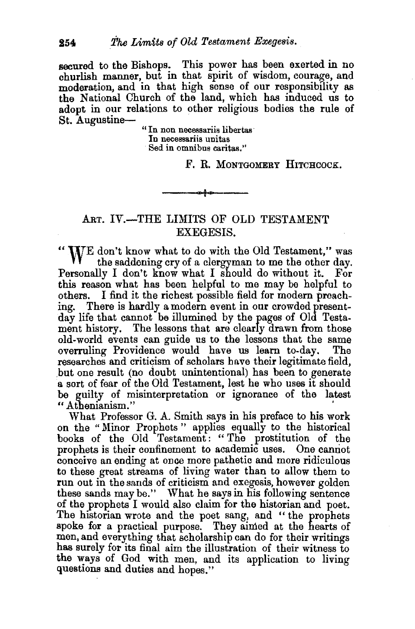secured to the Bishops. This power has been exerted in no churlish manner, but in that spirit of wisdom, courage, and moderation, and in that high sense of our responsibility as the National Church of the land, which has induced us to adopt in our relations to other religious bodies the rule of St. Augustine-

" In non neeessariis libertas In neeessariis unitas Sed in omnibus caritas."

F. R. MONTGOMERY HITCHCOCK.

## ART. IV.-THE LIMITS OF OLD TESTAMENT EXEGESIS.

" WE don't know what to do with the Old Testament," was the saddening cry of a clergyman to me the other day. Personally I don't know what I should do without it. For this reason what has been helpful to me may be helpful to others. I find it the richest possible field for modern preaching. There is hardly a modern event in our crowded presentday life that cannot be illumined by the pages of Old Testament history. The lessons that are clearly drawn from those old-world events can guide us to the lessons that the same overruling Providence would have us learn to-day. The researches and criticism of scholars have their legitimate field, .but one result (no doubt unintentional) has been to generate a sort of fear of the Old Testament, lest he who uses it should be guilty of misinterpretation or ignorance of the latest "Athenianism." '

What Professor G. A. Smith says in his preface to his work on the "Minor Prophets " applies equally to the historical books of the Old Testament: " The prostitution of the prophets is their confinement to academic uses. One cannot conceive an ending at once more pathetic and more ridiculous to these great streams of living water than to allow them to run out in the sands of criticism and exegesis, however golden these sands may be." What he says in his following sentence of the prophets I would also claim for the historian and poet. The historian wrote and the poet sang, and " the prophets spoke for a practical purpose. They aimed at the hearts of men, and everything that scholarship can do for their writings has surely for its final aim the illustration of their witness to the ways of God with men, and its application to living questions and duties and hopes."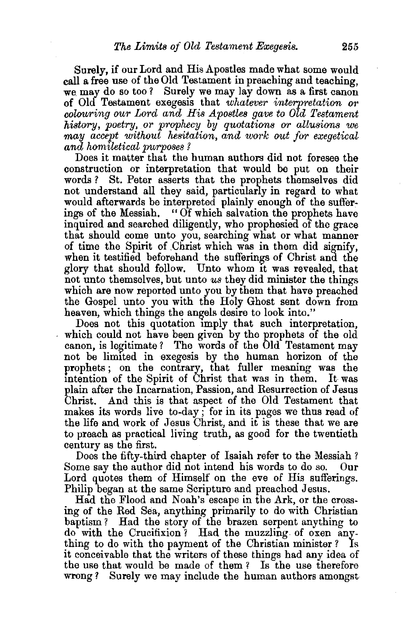Surely, if our Lord and His Apostles made what some would call a free use of the Old Testament in preaching and teaching, we may do so too? Surely we may lay down as a first canon of Old Testament exegesis that *whatever interpretation or colouring our Lord and His Apostles gave to Old Testament history, poetry, or prophecy by quotations or allusions we may accept without hesitation, and work out for exegetical and homiletical purposes ?* 

Does it matter that the human authors did not foresee the construction or interpretation that would be put on their words? St. Peter asserts that the prophets themselves did not understand all they said, particularly in regard to what would afterwards be interpreted plainly enough of the sufferings of the Messiah. "Of which salvation the prophets have inquired and searched diligently, who prophesied of the grace that should come unto you, searching what or what manner of time the Spirit of .Christ which was in them did signify, when it testified beforehand the sufferings of Christ and the glory that should follow. Unto whom It was revealed, that not unto themselves, but unto *us* they did minister the things which are now reported unto you by them that have preached the Gospel unto you with the Holy Ghost sent down from heaven, which things the angels desire to look into."

Does not this quotation imply that such interpretation, which could not have been given by the prophets of the old canon, is legitimate ? The words of the Old Testament may not be limited in exegesis by the human horizon of the prophets; on the contrary, that fuller meaning was the mtention of the Spirit of Christ that was in them. It was plain after the Incarnation, Passion, and Resurrection of Jesus Christ. And this is that aspect of the Old Testament that makes its words live to-day; for in its pages we thus read of the life and work of Jesus Christ, and it is these that we are to preach as practical living truth, as good for the twentieth century as the first.

Does the fifty-third chapter of Isaiah refer to the Messiah? Some say the author did not intend his words to do so. Our Lord quotes them of Himself on the eve of His sufferings. Philip began at the same Scripture and preached Jesus.

Had the Flood and Noah's escape in the Ark, or the crossing of the Red Sea, anything primarily to do with Christian baptism? Had the story of the brazen serpent anything to do with the Crucifixion? Had the muzzling of oxen anything to do with the payment of the Christian minister ? Is it conceivable that the writers of these things had any idea of the use that would be made of them ? Is the use therefore wrong? Surely we may include the human authors amongst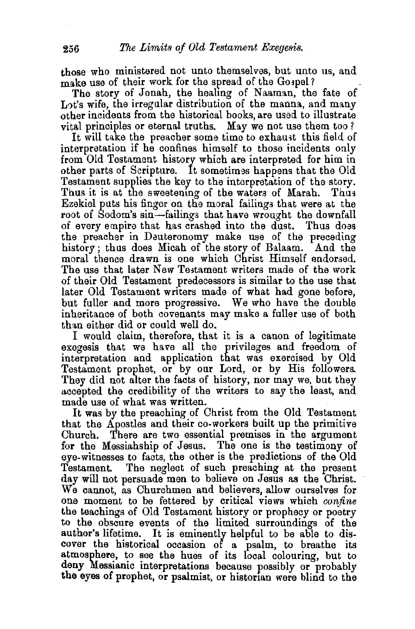those who ministered not unto themselves, but unto us, and make use of their work for the spread of the Gospel?

The story of Jonah, the healing of Naaman, the fate of Lot's wife, the irregular distribution of the manna, and many other incidents from the historical books, are used to illustrate vital principles or eternal truths. May we not use them too?

It will take the preacher some time to exhaust this field of interpretation if he confines himself to those incidents only from Old Testament history which are interpreted for him in other parts of Scripture. It sometimes happens that the Old Testament supplies the key to the interpretation of the story. Thus it is at the sweetening of the waters of Marah. Thus Ezekiel puts his finger on the moral failings that were at the root of Sodom's sin-failings that have wrought the downfall of every empire that has crashed into the dust. Thus doas the preacher in Deuteronomy make use of the preceding history; thus does Micah of the story of Balaam. And the moral thence drawn is one which Christ Himself endorsed. The use that later New Testament writers made of the work of their Old Testament predecessors is similar to the use that later Old Testament writers made of what had gone before, but fuller and more progressive. We who have the double inheritance of both covenants may make a fuller use of both than either did or could well do.

I would claim, therefore, that it is a canon of legitimate exegesis that we have all the privileges and freedom of interpretation and application that was exercised by Old Testament prophet, or by our Lord, or by His followers. They did not alter the facts of history, nor may we, but they accepted the credibility of the writers to say the least, and made use of what was written.

It was by the preaching of Christ from the Old Testament that the Apostles and their co-workers built up the primitive Church. There are two essential premises in the argument for the Messiahship of Jesus. The one is the testimony of eye-witnesses to facts, the other is the predictions of the Old Testament. The neglect of such preaching at the present day will not persuade men to believe on Jesus as the Christ. We cannot, as Churchmen and believers, allow ourselves for one moment to be fettered by critical views which *confine*  the teachings of Old Testament history or prophecy or poetry to the obscure events of the limited surroundings of the author's lifetime. It is eminently helpful to be able to discover the historical occasion of a psalm, to breathe its atmosphere, to see the hues of its local colouring, but to deny Messianic interpretations because possibly or probably the eyes of prophet, or psalmist, or historian were blind to the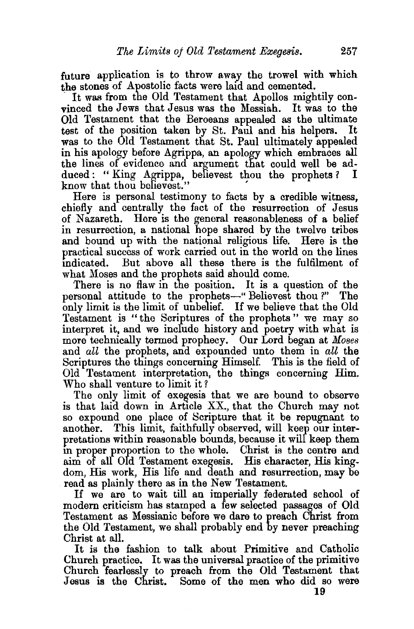future application is to throw away the trowel with which the stones of Apostolic facts were laid and cemented.

It was from the Old Testament that Apollos mightily convinced the Jews that Jesus was the Messiah. It was to the Old Testament that the Beroeans appealed as the ultimate test of the position taken by St. Paul and his belpers. It test of the position taken by St. Paul and his helpers. was to the Old Testament that St. Paul ultimately appealed in his apology before Agrippa, an apology which embraces all the lines of evidence and argument that could well be adduced: "King Agrippa, believest thou the prophets? I duced : " King Agrippa, believest thou the prophets ? know that thou believest."

Here is personal testimony to facts by a credible witness, chiefly and centrally the fact of the resurrection of Jesus of Nazareth. Here is the general reasonableness of a belief in resurrection, a national hope shared by the twelve tribes and bound up with the national religious life. Here is the practical success of work carried out in the world on the lines mdicated. But above all these there is the fulfilment of what Moses and the prophets said should come.

There is no flaw in the position. It is a question of the personal attitude to the prophets-" Believest thou ?" The only limit is the limit of unbelief. If we believe that the Old Testament is " the Scriptures of the prophets " we may so interpret it, and we include history and poetry with what is more technically termed prophecy. Our Lord began at *Moses*  and *all* the prophets, and expounded unto them in *all* the Scriptures the things concerning Himself. This is the field of Old Testament interpretation, the things concerning Him. Who shall venture to limit it?

The only limit of exegesis that we are bound to observe is that laid down in Article XX., that the Church may not so expound one place of Scripture that it be repugnant to another. This limit, faithfully observed, will keep our interpretations within reasonable bounds, because it will keep them m proper proportion to the whole. Christ is the centre and aim of all Old Testament exegesis. His character, His kingdom, His work, His life and death and resurrection, may be read as plainly there as in the New Testament.

If we are to wait till an imperially federated school of modern criticism has stamped a. few selected passages of Old Testament as Messianic before we dare to preach Christ from the Old Testament, we shall probably end by never preaching Christ at all.

It is the fashion to talk about Primitive and Catholic Church practice. It was the universal practice of the primitive Church fearlessly to preach from the Old Testament that Jesus is the Christ. Some of the men who did so were